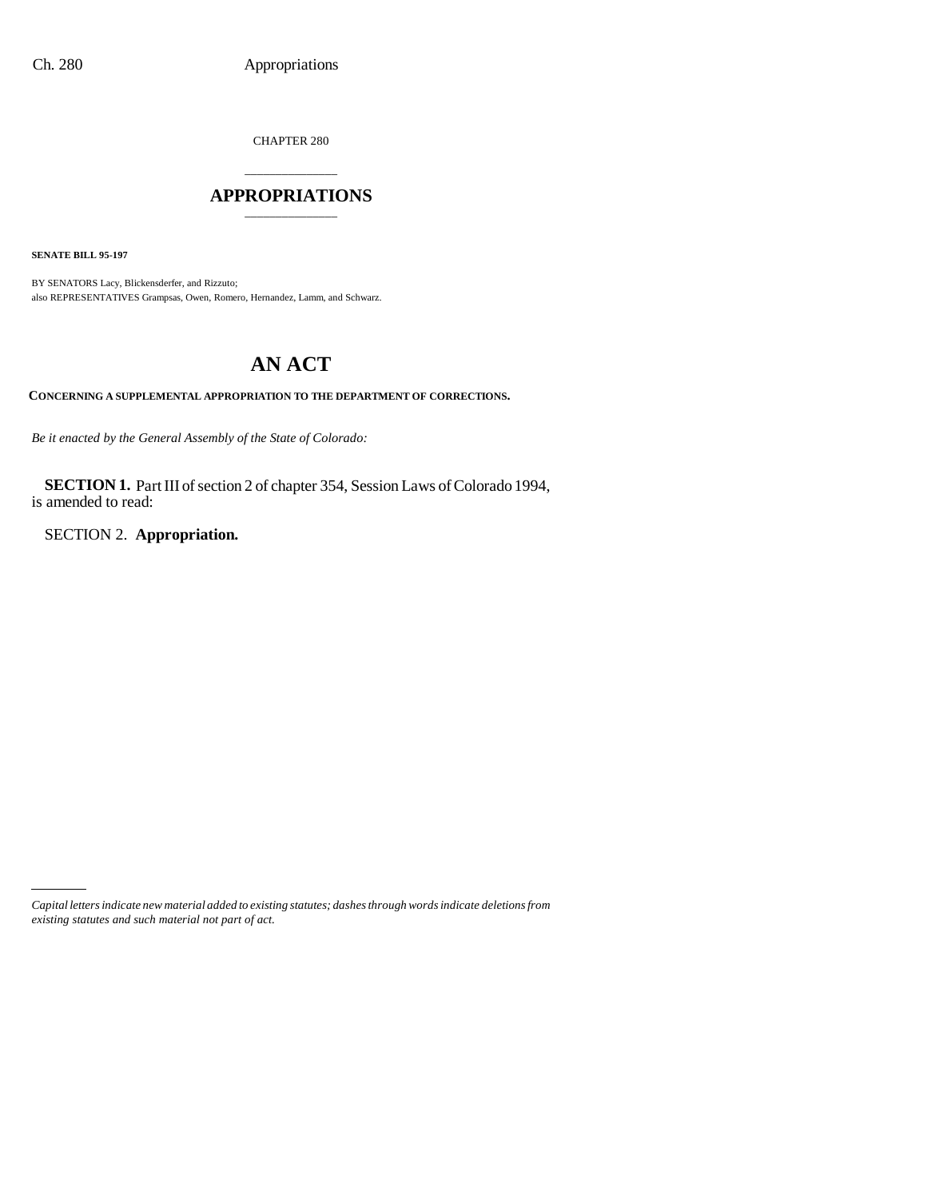CHAPTER 280

## \_\_\_\_\_\_\_\_\_\_\_\_\_\_\_ **APPROPRIATIONS** \_\_\_\_\_\_\_\_\_\_\_\_\_\_\_

**SENATE BILL 95-197**

BY SENATORS Lacy, Blickensderfer, and Rizzuto; also REPRESENTATIVES Grampsas, Owen, Romero, Hernandez, Lamm, and Schwarz.

# **AN ACT**

**CONCERNING A SUPPLEMENTAL APPROPRIATION TO THE DEPARTMENT OF CORRECTIONS.**

*Be it enacted by the General Assembly of the State of Colorado:*

**SECTION 1.** Part III of section 2 of chapter 354, Session Laws of Colorado 1994, is amended to read:

SECTION 2. **Appropriation.**

*Capital letters indicate new material added to existing statutes; dashes through words indicate deletions from existing statutes and such material not part of act.*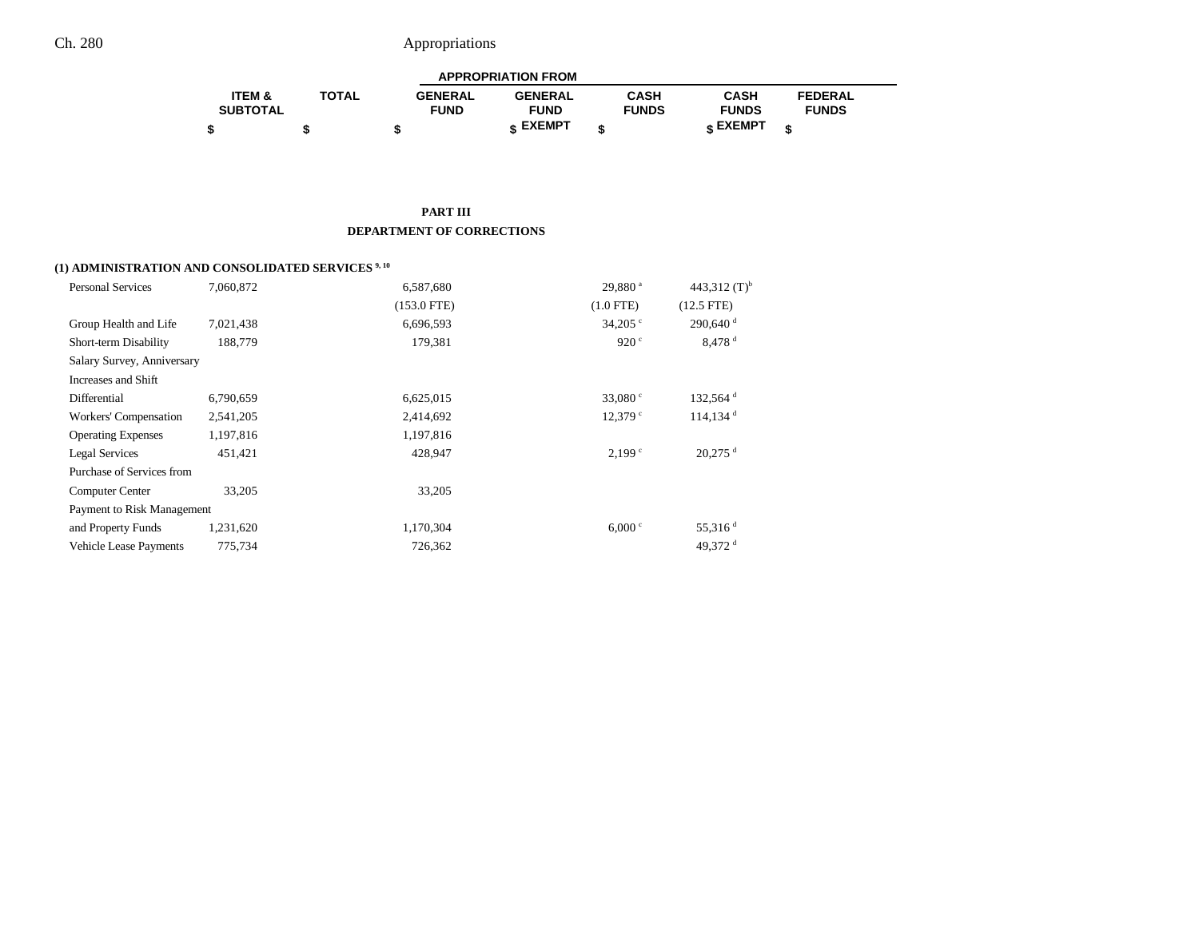| <b>APPROPRIATION FROM</b> |              |                |                 |              |              |                |  |
|---------------------------|--------------|----------------|-----------------|--------------|--------------|----------------|--|
| <b>ITEM &amp;</b>         | <b>TOTAL</b> | <b>GENERAL</b> | <b>GENERAL</b>  | CASH         | <b>CASH</b>  | <b>FEDERAL</b> |  |
| <b>SUBTOTAL</b>           |              | <b>FUND</b>    | <b>FUND</b>     | <b>FUNDS</b> | <b>FUNDS</b> | <b>FUNDS</b>   |  |
|                           |              |                | <b>« EXEMPT</b> |              | e EXEMPT ہ   |                |  |

#### **PART III DEPARTMENT OF CORRECTIONS**

## **(1) ADMINISTRATION AND CONSOLIDATED SERVICES 9, 10**

| <b>Personal Services</b>      | 7.060.872 | 6.587.680     | $29,880$ <sup>a</sup> | 443,312 $(T)^{b}$      |
|-------------------------------|-----------|---------------|-----------------------|------------------------|
|                               |           | $(153.0$ FTE) | $(1.0$ FTE)           | $(12.5$ FTE)           |
| Group Health and Life         | 7,021,438 | 6,696,593     | 34,205 $\degree$      | $290,640$ <sup>d</sup> |
| Short-term Disability         | 188,779   | 179,381       | 920 $\degree$         | $8,478$ <sup>d</sup>   |
| Salary Survey, Anniversary    |           |               |                       |                        |
| Increases and Shift           |           |               |                       |                        |
| Differential                  | 6,790,659 | 6,625,015     | 33,080 $^{\circ}$     | $132,564$ <sup>d</sup> |
| Workers' Compensation         | 2,541,205 | 2,414,692     | $12,379$ $\degree$    | $114,134$ <sup>d</sup> |
| <b>Operating Expenses</b>     | 1,197,816 | 1,197,816     |                       |                        |
| Legal Services                | 451.421   | 428,947       | 2.199 <sup>c</sup>    | $20,275$ <sup>d</sup>  |
| Purchase of Services from     |           |               |                       |                        |
| Computer Center               | 33,205    | 33,205        |                       |                        |
| Payment to Risk Management    |           |               |                       |                        |
| and Property Funds            | 1,231,620 | 1,170,304     | 6,000 °               | 55,316 $d$             |
| <b>Vehicle Lease Payments</b> | 775,734   | 726,362       |                       | 49.372 $^d$            |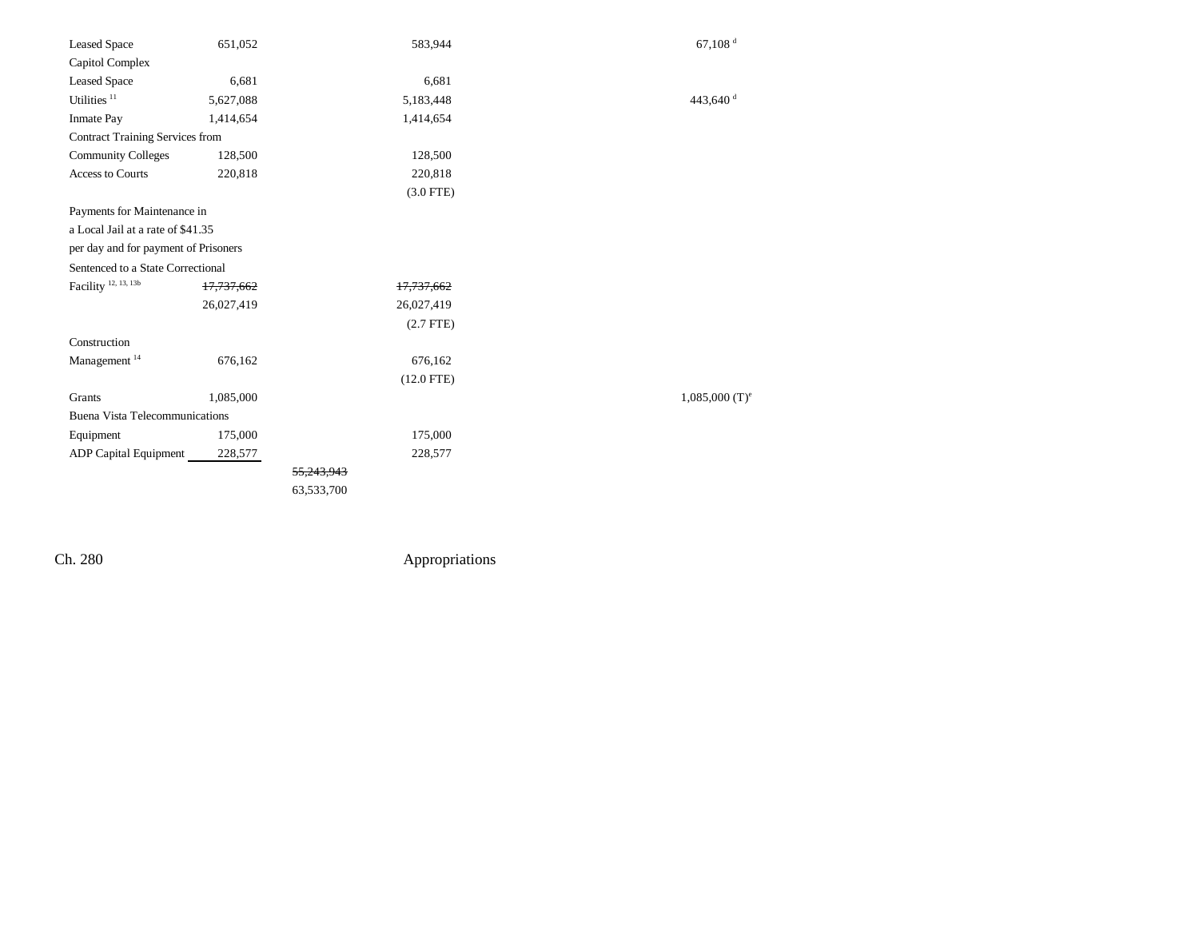| <b>Leased Space</b>                    | 651,052               | 583,944      | $67,108$ <sup>d</sup>        |
|----------------------------------------|-----------------------|--------------|------------------------------|
| Capitol Complex                        |                       |              |                              |
| <b>Leased Space</b>                    | 6,681                 | 6,681        |                              |
| Utilities <sup>11</sup>                | 5,627,088             | 5,183,448    | 443,640 <sup>d</sup>         |
| <b>Inmate Pay</b>                      | 1,414,654             | 1,414,654    |                              |
| <b>Contract Training Services from</b> |                       |              |                              |
| <b>Community Colleges</b>              | 128,500               | 128,500      |                              |
| <b>Access to Courts</b>                | 220,818               | 220,818      |                              |
|                                        |                       | $(3.0$ FTE)  |                              |
| Payments for Maintenance in            |                       |              |                              |
| a Local Jail at a rate of \$41.35      |                       |              |                              |
| per day and for payment of Prisoners   |                       |              |                              |
| Sentenced to a State Correctional      |                       |              |                              |
| Facility <sup>12, 13, 13b</sup>        | <del>17,737,662</del> | 17,737,662   |                              |
|                                        | 26,027,419            | 26,027,419   |                              |
|                                        |                       | $(2.7$ FTE)  |                              |
| Construction                           |                       |              |                              |
| Management <sup>14</sup>               | 676,162               | 676,162      |                              |
|                                        |                       | $(12.0$ FTE) |                              |
| Grants                                 | 1,085,000             |              | $1,085,000$ (T) <sup>e</sup> |
| <b>Buena Vista Telecommunications</b>  |                       |              |                              |
| Equipment                              | 175,000               | 175,000      |                              |
| <b>ADP</b> Capital Equipment           | 228,577               | 228,577      |                              |
|                                        |                       | 55.243.943   |                              |
|                                        |                       | 63,533,700   |                              |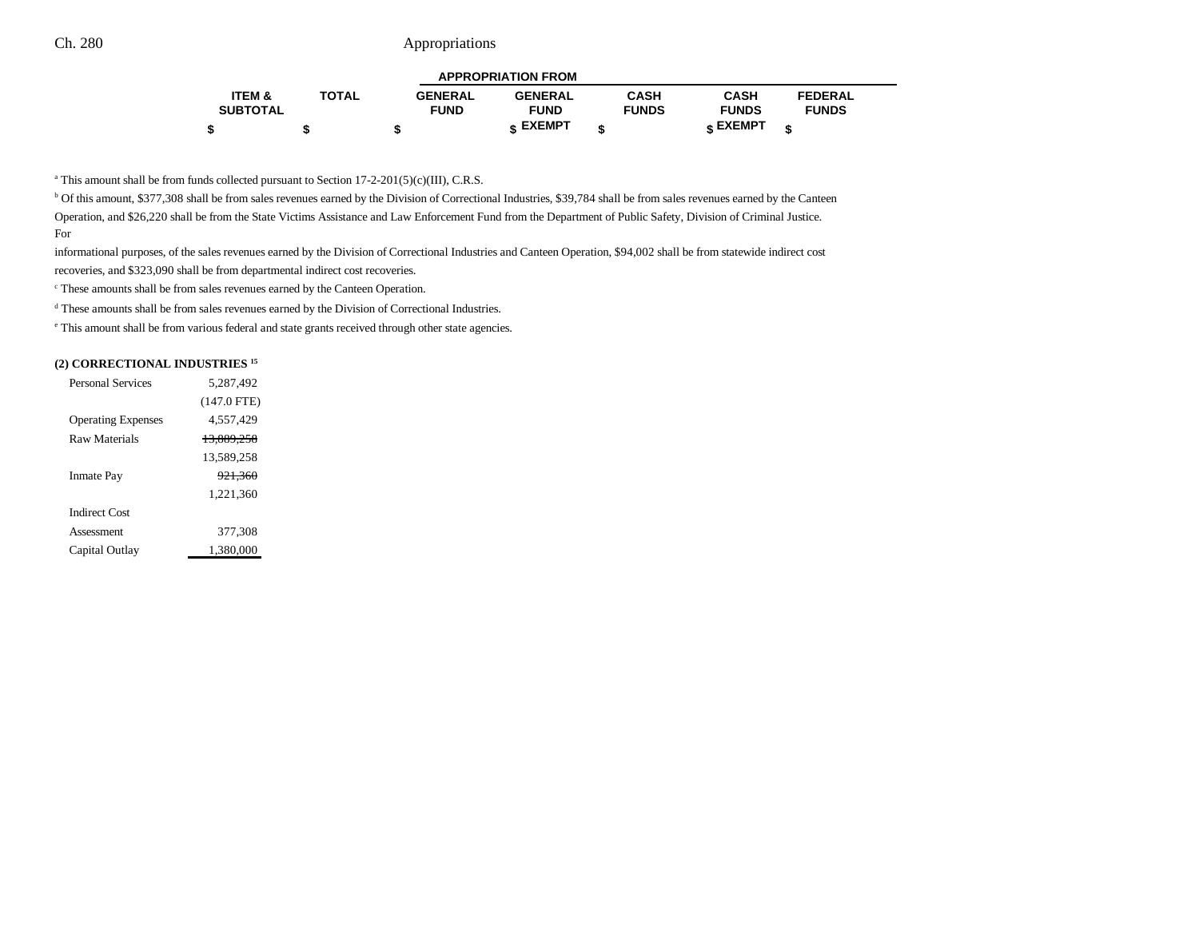| <b>APPROPRIATION FROM</b> |              |                |                 |              |              |                |  |
|---------------------------|--------------|----------------|-----------------|--------------|--------------|----------------|--|
| <b>ITEM &amp;</b>         | <b>TOTAL</b> | <b>GENERAL</b> | <b>GENERAL</b>  | <b>CASH</b>  | <b>CASH</b>  | <b>FEDERAL</b> |  |
| <b>SUBTOTAL</b>           |              | <b>FUND</b>    | <b>FUND</b>     | <b>FUNDS</b> | <b>FUNDS</b> | <b>FUNDS</b>   |  |
|                           |              | -12            | <b>« EXEMPT</b> |              | e EXEMPT ہ   |                |  |

<sup>a</sup> This amount shall be from funds collected pursuant to Section 17-2-201(5)(c)(III), C.R.S.

b Of this amount, \$377,308 shall be from sales revenues earned by the Division of Correctional Industries, \$39,784 shall be from sales revenues earned by the Canteen Operation, and \$26,220 shall be from the State Victims Assistance and Law Enforcement Fund from the Department of Public Safety, Division of Criminal Justice. For

informational purposes, of the sales revenues earned by the Division of Correctional Industries and Canteen Operation, \$94,002 shall be from statewide indirect cost

recoveries, and \$323,090 shall be from departmental indirect cost recoveries.

c These amounts shall be from sales revenues earned by the Canteen Operation.

d These amounts shall be from sales revenues earned by the Division of Correctional Industries.

e This amount shall be from various federal and state grants received through other state agencies.

#### **(2) CORRECTIONAL INDUSTRIES 15**

| <b>Personal Services</b>  | 5.287.492          |
|---------------------------|--------------------|
|                           | $(147.0$ FTE)      |
| <b>Operating Expenses</b> | 4,557,429          |
| Raw Materials             | 13,889,258         |
|                           | 13,589,258         |
| <b>Inmate Pay</b>         | <del>921.360</del> |
|                           | 1,221,360          |
| <b>Indirect Cost</b>      |                    |
| Assessment                | 377.308            |
| Capital Outlay            | 1,380,000          |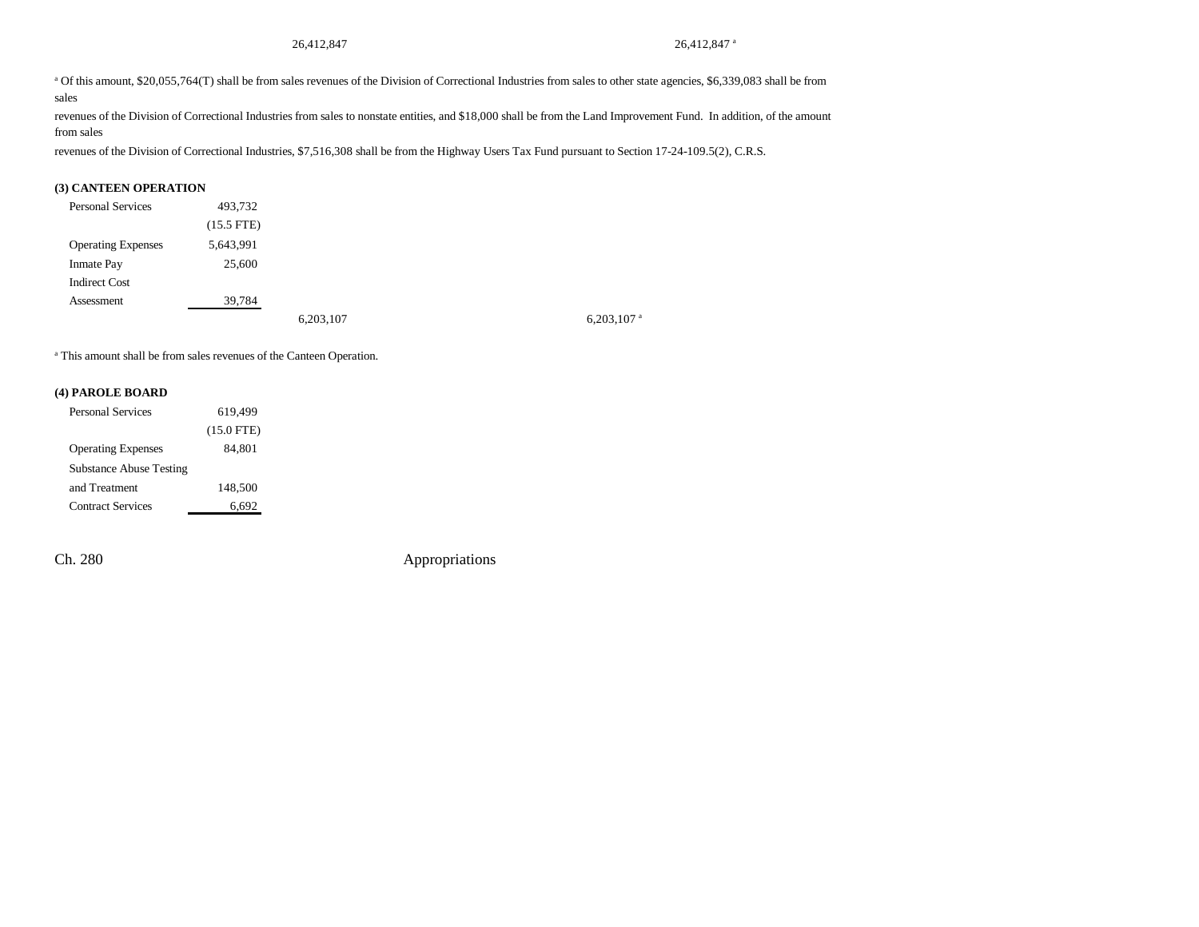a Of this amount, \$20,055,764(T) shall be from sales revenues of the Division of Correctional Industries from sales to other state agencies, \$6,339,083 shall be from sales

revenues of the Division of Correctional Industries from sales to nonstate entities, and \$18,000 shall be from the Land Improvement Fund. In addition, of the amount from sales

revenues of the Division of Correctional Industries, \$7,516,308 shall be from the Highway Users Tax Fund pursuant to Section 17-24-109.5(2), C.R.S.

#### **(3) CANTEEN OPERATION**

| <b>Personal Services</b>  | 493,732      |           |                          |
|---------------------------|--------------|-----------|--------------------------|
|                           | $(15.5$ FTE) |           |                          |
| <b>Operating Expenses</b> | 5,643,991    |           |                          |
| <b>Inmate Pay</b>         | 25,600       |           |                          |
| <b>Indirect Cost</b>      |              |           |                          |
| Assessment                | 39,784       |           |                          |
|                           |              | 6,203,107 | $6,203,107$ <sup>a</sup> |

a This amount shall be from sales revenues of the Canteen Operation.

#### **(4) PAROLE BOARD**

| <b>Personal Services</b>       | 619.499      |
|--------------------------------|--------------|
|                                | $(15.0$ FTE) |
| <b>Operating Expenses</b>      | 84.801       |
| <b>Substance Abuse Testing</b> |              |
| and Treatment                  | 148,500      |
| <b>Contract Services</b>       | 6,692        |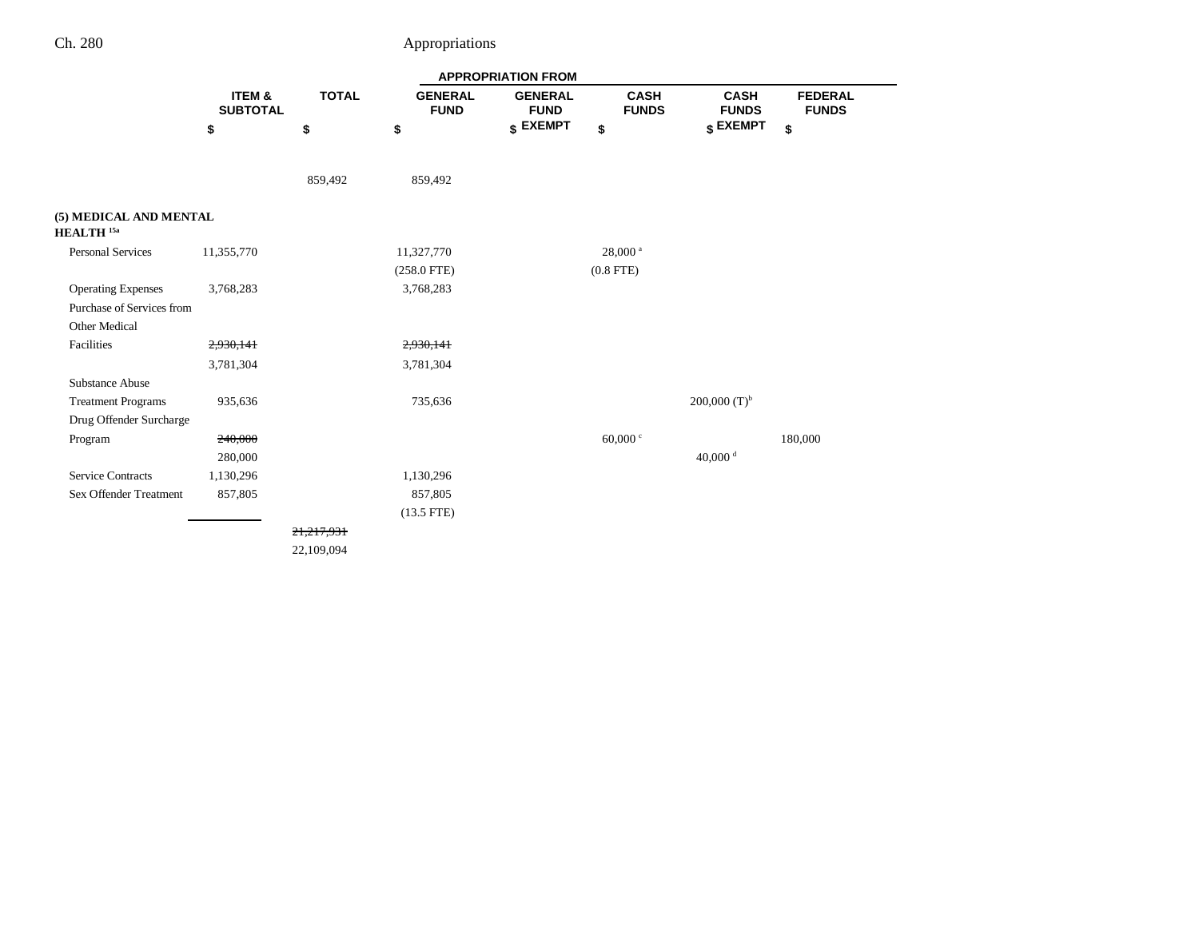÷

|                                                 |                                      |              |                               | <b>APPROPRIATION FROM</b>     |                             |                             |                                |
|-------------------------------------------------|--------------------------------------|--------------|-------------------------------|-------------------------------|-----------------------------|-----------------------------|--------------------------------|
|                                                 | <b>ITEM &amp;</b><br><b>SUBTOTAL</b> | <b>TOTAL</b> | <b>GENERAL</b><br><b>FUND</b> | <b>GENERAL</b><br><b>FUND</b> | <b>CASH</b><br><b>FUNDS</b> | <b>CASH</b><br><b>FUNDS</b> | <b>FEDERAL</b><br><b>FUNDS</b> |
|                                                 | \$                                   | \$           | \$                            | \$ EXEMPT                     | \$                          | \$ EXEMPT                   | \$                             |
|                                                 |                                      | 859,492      | 859,492                       |                               |                             |                             |                                |
| (5) MEDICAL AND MENTAL<br>HEALTH <sup>15a</sup> |                                      |              |                               |                               |                             |                             |                                |
| Personal Services                               | 11,355,770                           |              | 11,327,770                    |                               | $28,000$ <sup>a</sup>       |                             |                                |
|                                                 |                                      |              | $(258.0$ FTE)                 |                               | $(0.8$ FTE)                 |                             |                                |
| <b>Operating Expenses</b>                       | 3,768,283                            |              | 3,768,283                     |                               |                             |                             |                                |
| Purchase of Services from                       |                                      |              |                               |                               |                             |                             |                                |
| Other Medical                                   |                                      |              |                               |                               |                             |                             |                                |
| Facilities                                      | 2,930,141                            |              | 2,930,141                     |                               |                             |                             |                                |
|                                                 | 3,781,304                            |              | 3,781,304                     |                               |                             |                             |                                |
| Substance Abuse                                 |                                      |              |                               |                               |                             |                             |                                |
| <b>Treatment Programs</b>                       | 935,636                              |              | 735,636                       |                               |                             | 200,000 $(T)^{b}$           |                                |
| Drug Offender Surcharge                         |                                      |              |                               |                               |                             |                             |                                |
| Program                                         | 240,000                              |              |                               |                               | 60,000 $\degree$            |                             | 180,000                        |
|                                                 | 280,000                              |              |                               |                               |                             | 40,000 $d$                  |                                |
| <b>Service Contracts</b>                        | 1,130,296                            |              | 1,130,296                     |                               |                             |                             |                                |
| <b>Sex Offender Treatment</b>                   | 857,805                              |              | 857,805                       |                               |                             |                             |                                |
|                                                 |                                      |              | $(13.5$ FTE)                  |                               |                             |                             |                                |
|                                                 |                                      | 21,217,931   |                               |                               |                             |                             |                                |
|                                                 |                                      | 22,109,094   |                               |                               |                             |                             |                                |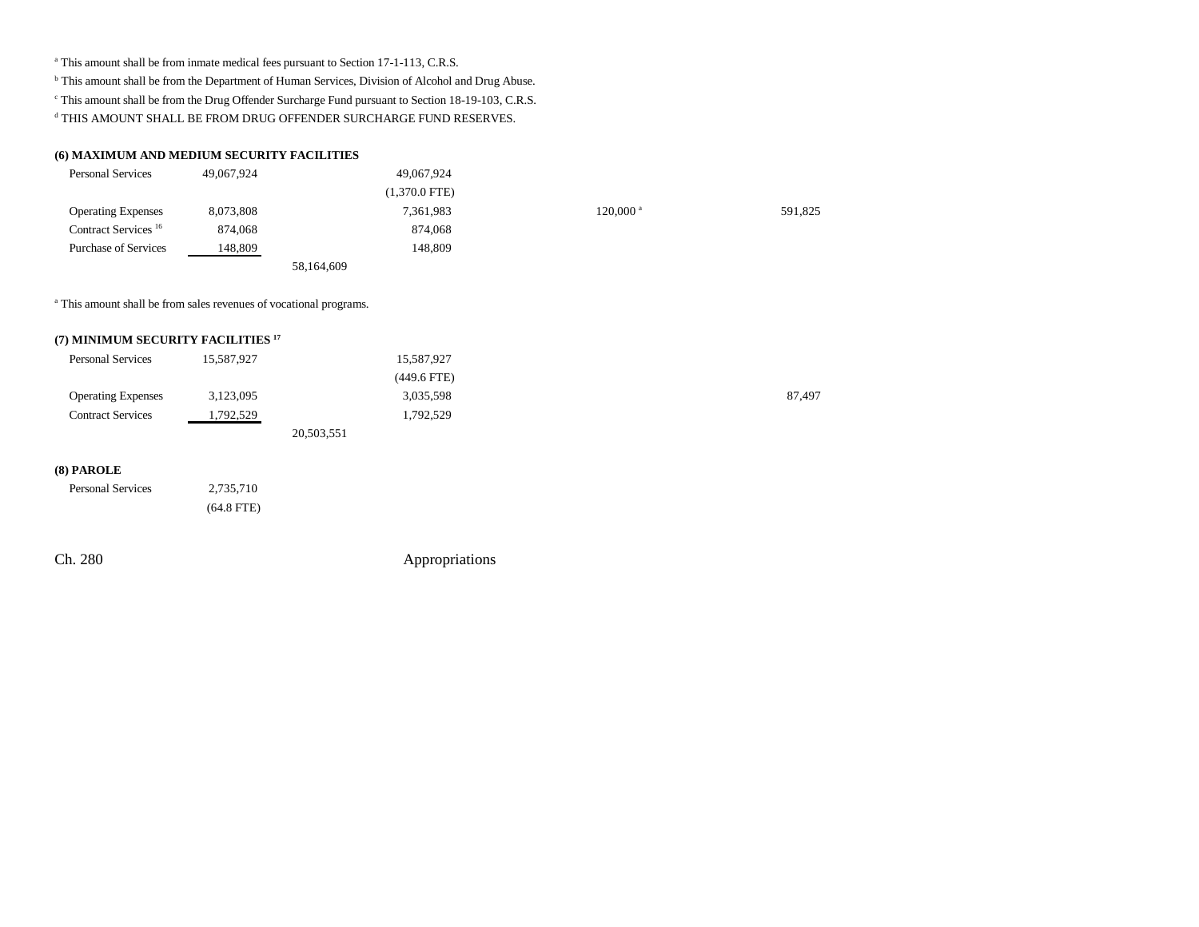### <sup>a</sup> This amount shall be from inmate medical fees pursuant to Section 17-1-113, C.R.S.

**b** This amount shall be from the Department of Human Services, Division of Alcohol and Drug Abuse.

c This amount shall be from the Drug Offender Surcharge Fund pursuant to Section 18-19-103, C.R.S.

 $\rm ^d$  THIS AMOUNT SHALL BE FROM DRUG OFFENDER SURCHARGE FUND RESERVES.

#### **(6) MAXIMUM AND MEDIUM SECURITY FACILITIES**

| <b>Personal Services</b>        | 49,067,924 | 49,067,924      |                        |         |
|---------------------------------|------------|-----------------|------------------------|---------|
|                                 |            | $(1,370.0$ FTE) |                        |         |
| <b>Operating Expenses</b>       | 8,073,808  | 7,361,983       | $120,000$ <sup>a</sup> | 591,825 |
| Contract Services <sup>16</sup> | 874,068    | 874,068         |                        |         |
| <b>Purchase of Services</b>     | 148,809    | 148.809         |                        |         |
|                                 |            | 58,164,609      |                        |         |

a This amount shall be from sales revenues of vocational programs.

#### **(7) MINIMUM SECURITY FACILITIES 17**

| <b>Personal Services</b>  | 15,587,927 | 15,587,927    |        |
|---------------------------|------------|---------------|--------|
|                           |            | $(449.6$ FTE) |        |
| <b>Operating Expenses</b> | 3,123,095  | 3,035,598     | 87,497 |
| <b>Contract Services</b>  | 1,792,529  | 1,792,529     |        |
|                           |            | 20,503,551    |        |

#### **(8) PAROLE**

| <b>Personal Services</b> | 2,735,710    |
|--------------------------|--------------|
|                          | $(64.8$ FTE) |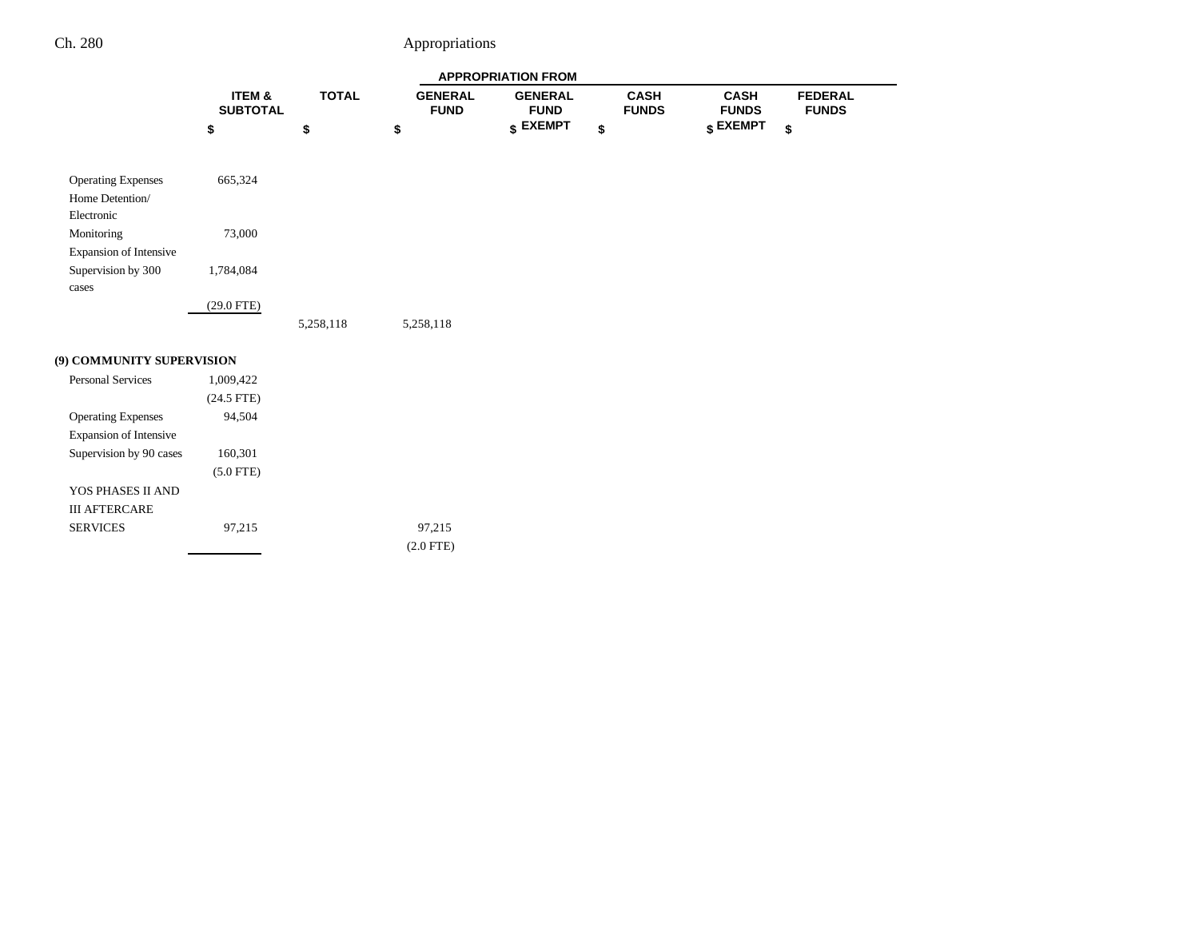**FEDERAL FUNDS**

|                               |                           |              | <b>APPROPRIATION FROM</b>     |                               |                             |                             |   |
|-------------------------------|---------------------------|--------------|-------------------------------|-------------------------------|-----------------------------|-----------------------------|---|
|                               | ITEM &<br><b>SUBTOTAL</b> | <b>TOTAL</b> | <b>GENERAL</b><br><b>FUND</b> | <b>GENERAL</b><br><b>FUND</b> | <b>CASH</b><br><b>FUNDS</b> | <b>CASH</b><br><b>FUNDS</b> |   |
|                               | \$                        | \$           | \$                            | \$ EXEMPT                     | \$                          | \$ EXEMPT                   | Ś |
| <b>Operating Expenses</b>     | 665,324                   |              |                               |                               |                             |                             |   |
| Home Detention/<br>Electronic |                           |              |                               |                               |                             |                             |   |
| Monitoring                    | 73,000                    |              |                               |                               |                             |                             |   |
| Expansion of Intensive        |                           |              |                               |                               |                             |                             |   |
| Supervision by 300            | 1,784,084                 |              |                               |                               |                             |                             |   |
| cases                         |                           |              |                               |                               |                             |                             |   |
|                               | $(29.0$ FTE)              |              |                               |                               |                             |                             |   |
|                               |                           | 5,258,118    | 5,258,118                     |                               |                             |                             |   |
| (9) COMMUNITY SUPERVISION     |                           |              |                               |                               |                             |                             |   |
| <b>Personal Services</b>      | 1,009,422                 |              |                               |                               |                             |                             |   |
|                               | $(24.5$ FTE)              |              |                               |                               |                             |                             |   |
| <b>Operating Expenses</b>     | 94,504                    |              |                               |                               |                             |                             |   |
| Expansion of Intensive        |                           |              |                               |                               |                             |                             |   |
| Supervision by 90 cases       | 160,301                   |              |                               |                               |                             |                             |   |
|                               | $(5.0$ FTE)               |              |                               |                               |                             |                             |   |
| YOS PHASES II AND             |                           |              |                               |                               |                             |                             |   |
| <b>III AFTERCARE</b>          |                           |              |                               |                               |                             |                             |   |
| <b>SERVICES</b>               | 97,215                    |              | 97,215                        |                               |                             |                             |   |
|                               |                           |              | $(2.0$ FTE)                   |                               |                             |                             |   |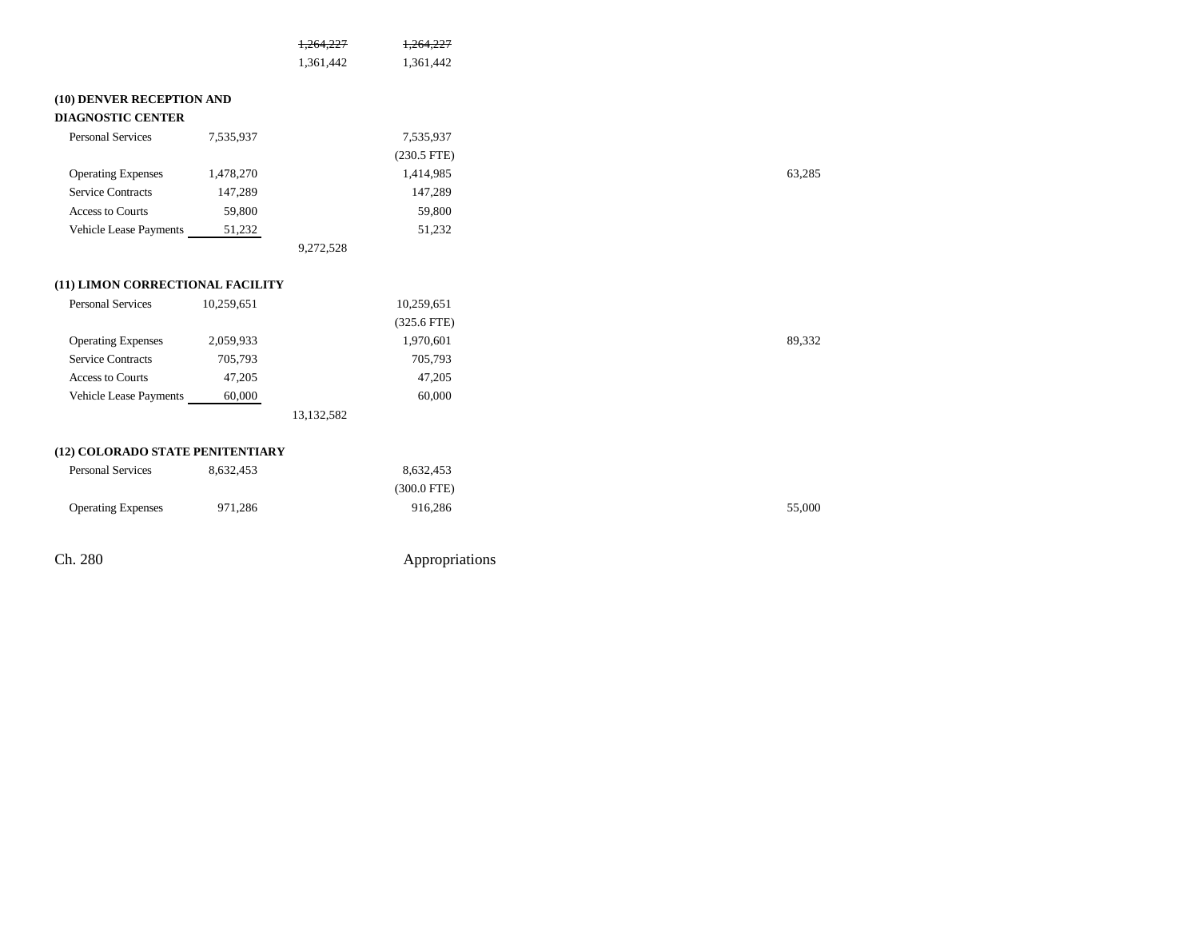|                                  |            | 1,264,227  | 1.264.227     |
|----------------------------------|------------|------------|---------------|
|                                  |            | 1,361,442  | 1,361,442     |
| (10) DENVER RECEPTION AND        |            |            |               |
| <b>DIAGNOSTIC CENTER</b>         |            |            |               |
| <b>Personal Services</b>         | 7,535,937  |            | 7,535,937     |
|                                  |            |            | $(230.5$ FTE) |
| <b>Operating Expenses</b>        | 1,478,270  |            | 1,414,985     |
| <b>Service Contracts</b>         | 147,289    |            | 147,289       |
| <b>Access to Courts</b>          | 59,800     |            | 59,800        |
| Vehicle Lease Payments           | 51,232     |            | 51,232        |
|                                  |            | 9,272,528  |               |
| (11) LIMON CORRECTIONAL FACILITY |            |            |               |
| <b>Personal Services</b>         | 10,259,651 |            | 10,259,651    |
|                                  |            |            | $(325.6$ FTE) |
| <b>Operating Expenses</b>        | 2,059,933  |            | 1,970,601     |
| <b>Service Contracts</b>         | 705,793    |            | 705,793       |
| Access to Courts                 | 47,205     |            | 47,205        |
| Vehicle Lease Payments           | 60,000     |            | 60,000        |
|                                  |            | 13,132,582 |               |

#### **(12) COLORADO STATE PENITENTIARY**

| <b>Personal Services</b>  | 8.632.453 | 8.632.453   |        |
|---------------------------|-----------|-------------|--------|
|                           |           | (300.0 FTE) |        |
| <b>Operating Expenses</b> | 971,286   | 916,286     | 55,000 |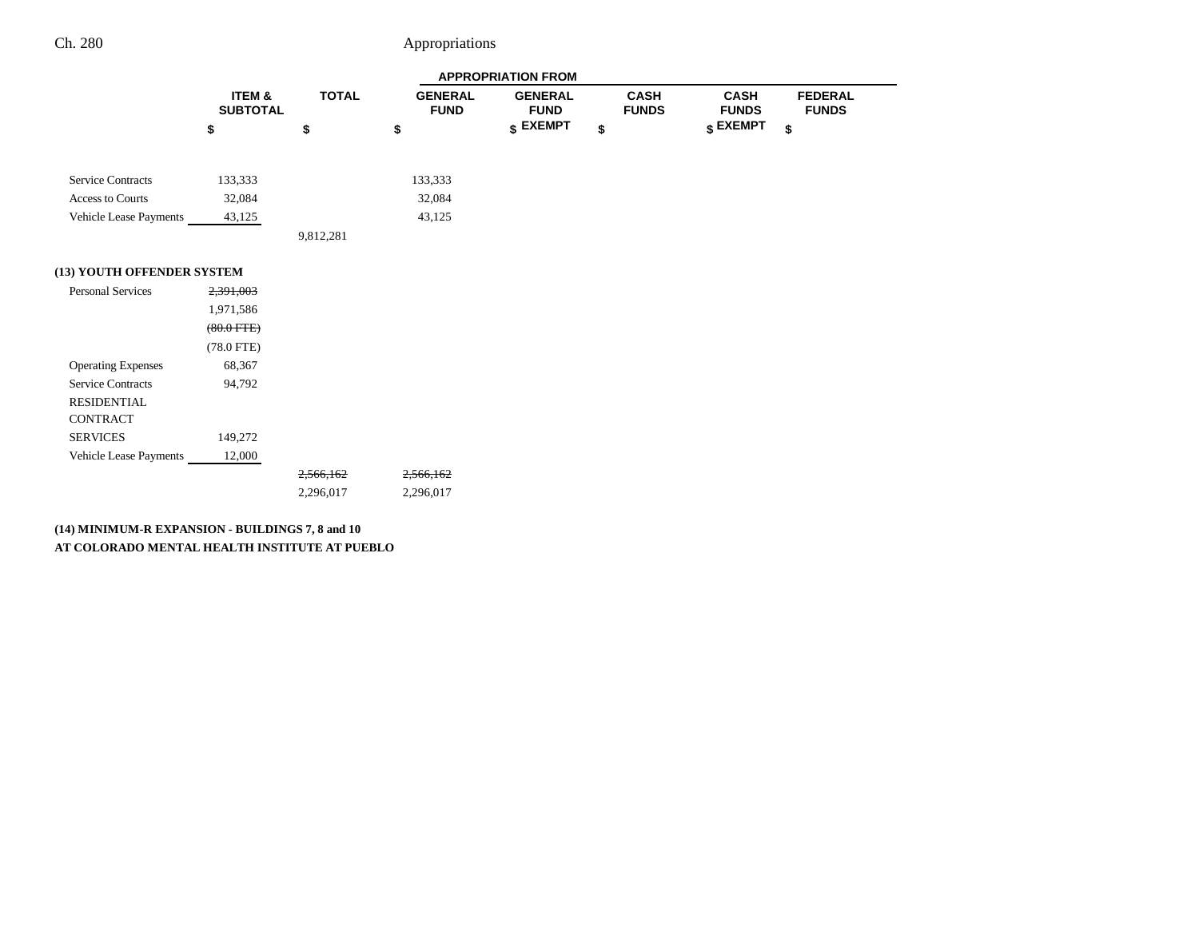|                            |                                      | <b>APPROPRIATION FROM</b> |                               |                               |                             |                             |                                |  |  |
|----------------------------|--------------------------------------|---------------------------|-------------------------------|-------------------------------|-----------------------------|-----------------------------|--------------------------------|--|--|
|                            | <b>ITEM &amp;</b><br><b>SUBTOTAL</b> | <b>TOTAL</b>              | <b>GENERAL</b><br><b>FUND</b> | <b>GENERAL</b><br><b>FUND</b> | <b>CASH</b><br><b>FUNDS</b> | <b>CASH</b><br><b>FUNDS</b> | <b>FEDERAL</b><br><b>FUNDS</b> |  |  |
|                            | \$                                   | \$                        | \$                            | \$ EXEMPT                     | \$                          | \$ EXEMPT                   | \$                             |  |  |
| <b>Service Contracts</b>   | 133,333                              |                           | 133,333                       |                               |                             |                             |                                |  |  |
| <b>Access to Courts</b>    | 32,084                               |                           | 32,084                        |                               |                             |                             |                                |  |  |
| Vehicle Lease Payments     | 43,125                               |                           | 43,125                        |                               |                             |                             |                                |  |  |
|                            |                                      | 9,812,281                 |                               |                               |                             |                             |                                |  |  |
| (13) YOUTH OFFENDER SYSTEM |                                      |                           |                               |                               |                             |                             |                                |  |  |
| <b>Personal Services</b>   | 2,391,003                            |                           |                               |                               |                             |                             |                                |  |  |
|                            | 1,971,586                            |                           |                               |                               |                             |                             |                                |  |  |
|                            | $(80.0 \text{ FTE})$                 |                           |                               |                               |                             |                             |                                |  |  |
|                            | $(78.0$ FTE)                         |                           |                               |                               |                             |                             |                                |  |  |
| <b>Operating Expenses</b>  | 68,367                               |                           |                               |                               |                             |                             |                                |  |  |
| <b>Service Contracts</b>   | 94,792                               |                           |                               |                               |                             |                             |                                |  |  |
| <b>RESIDENTIAL</b>         |                                      |                           |                               |                               |                             |                             |                                |  |  |
| <b>CONTRACT</b>            |                                      |                           |                               |                               |                             |                             |                                |  |  |
| <b>SERVICES</b>            | 149,272                              |                           |                               |                               |                             |                             |                                |  |  |
| Vehicle Lease Payments     | 12,000                               |                           |                               |                               |                             |                             |                                |  |  |
|                            |                                      | 2,566,162                 | 2,566,162                     |                               |                             |                             |                                |  |  |
|                            |                                      | 2,296,017                 | 2,296,017                     |                               |                             |                             |                                |  |  |
|                            |                                      |                           |                               |                               |                             |                             |                                |  |  |

**(14) MINIMUM-R EXPANSION - BUILDINGS 7, 8 and 10 AT COLORADO MENTAL HEALTH INSTITUTE AT PUEBLO**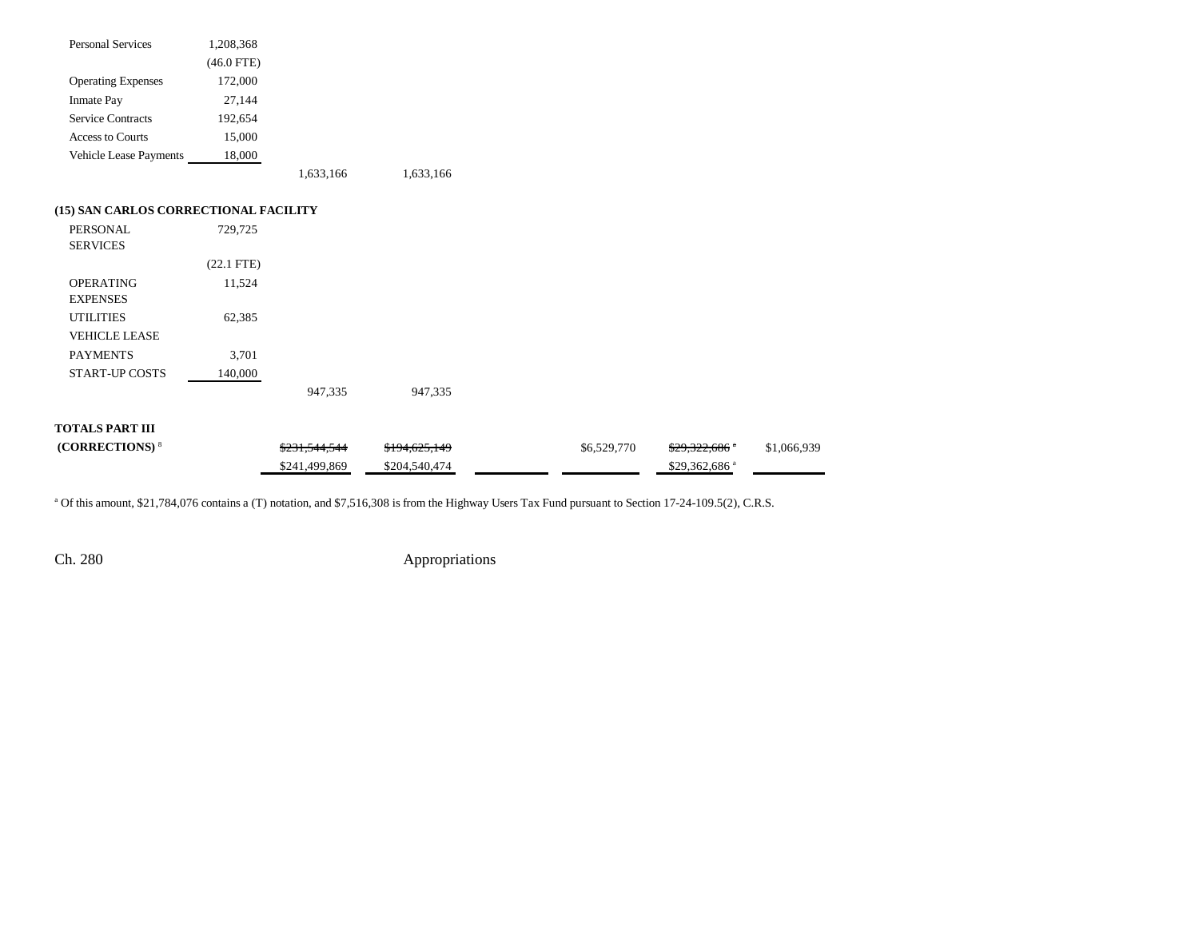| <b>Personal Services</b>              | 1,208,368    |               |               |             |                           |             |
|---------------------------------------|--------------|---------------|---------------|-------------|---------------------------|-------------|
|                                       | $(46.0$ FTE) |               |               |             |                           |             |
| <b>Operating Expenses</b>             | 172,000      |               |               |             |                           |             |
| <b>Inmate Pay</b>                     | 27,144       |               |               |             |                           |             |
| <b>Service Contracts</b>              | 192,654      |               |               |             |                           |             |
| <b>Access to Courts</b>               | 15,000       |               |               |             |                           |             |
| Vehicle Lease Payments                | 18,000       |               |               |             |                           |             |
|                                       |              | 1,633,166     | 1,633,166     |             |                           |             |
| (15) SAN CARLOS CORRECTIONAL FACILITY |              |               |               |             |                           |             |
| PERSONAL<br><b>SERVICES</b>           | 729,725      |               |               |             |                           |             |
|                                       | $(22.1$ FTE) |               |               |             |                           |             |
| <b>OPERATING</b><br><b>EXPENSES</b>   | 11,524       |               |               |             |                           |             |
| <b>UTILITIES</b>                      | 62,385       |               |               |             |                           |             |
| <b>VEHICLE LEASE</b>                  |              |               |               |             |                           |             |
| <b>PAYMENTS</b>                       | 3,701        |               |               |             |                           |             |
| <b>START-UP COSTS</b>                 | 140,000      |               |               |             |                           |             |
|                                       |              | 947,335       | 947,335       |             |                           |             |
| <b>TOTALS PART III</b>                |              |               |               |             |                           |             |
| (CORRECTIONS) <sup>8</sup>            |              | \$231,544,544 | \$194,625,149 | \$6,529,770 | $$29,322,686$ *           | \$1,066,939 |
|                                       |              | \$241,499,869 | \$204,540,474 |             | \$29,362,686 <sup>a</sup> |             |

<sup>a</sup> Of this amount, \$21,784,076 contains a (T) notation, and \$7,516,308 is from the Highway Users Tax Fund pursuant to Section 17-24-109.5(2), C.R.S.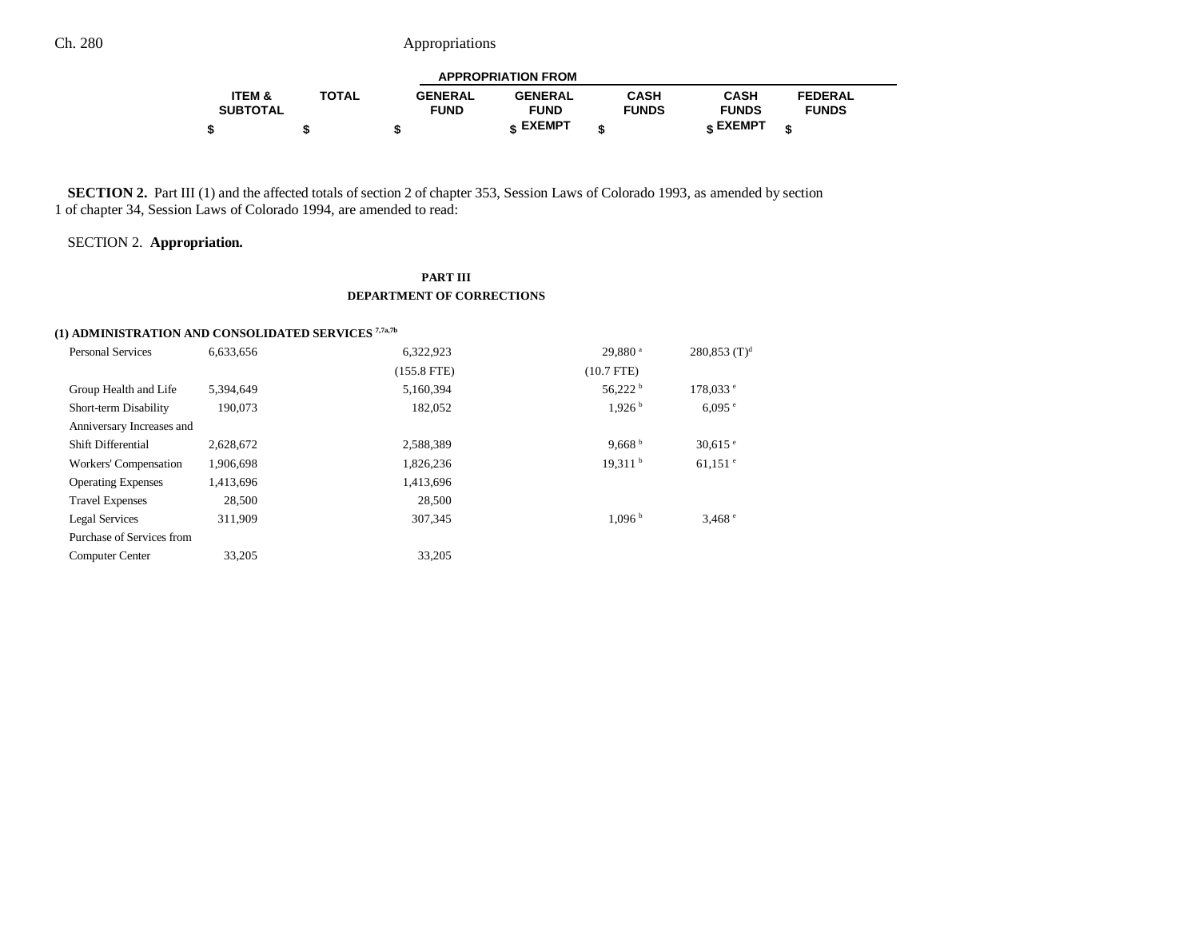| <b>APPROPRIATION FROM</b> |              |                |                |              |                 |                |  |  |
|---------------------------|--------------|----------------|----------------|--------------|-----------------|----------------|--|--|
| ITEM &                    | <b>TOTAL</b> | <b>GENERAL</b> | <b>GENERAL</b> | CASH         | <b>CASH</b>     | <b>FEDERAL</b> |  |  |
| <b>SUBTOTAL</b>           |              | <b>FUND</b>    | <b>FUND</b>    | <b>FUNDS</b> | <b>FUNDS</b>    | <b>FUNDS</b>   |  |  |
|                           |              |                | c EXEMPT       |              | <b>c</b> EXEMPT | æ              |  |  |

**SECTION 2.** Part III (1) and the affected totals of section 2 of chapter 353, Session Laws of Colorado 1993, as amended by section 1 of chapter 34, Session Laws of Colorado 1994, are amended to read:

SECTION 2. **Appropriation.**

### **PART III DEPARTMENT OF CORRECTIONS**

## **(1) ADMINISTRATION AND CONSOLIDATED SERVICES 7,7a,7b**

| <b>Personal Services</b>  | 6,633,656 | 6,322,923     | 29.880 <sup>a</sup> | $280,853$ (T) <sup>d</sup> |
|---------------------------|-----------|---------------|---------------------|----------------------------|
|                           |           | $(155.8$ FTE) | $(10.7$ FTE)        |                            |
| Group Health and Life     | 5.394.649 | 5,160,394     | 56,222h             | $178,033$ <sup>e</sup>     |
| Short-term Disability     | 190.073   | 182.052       | 1.926 <sup>b</sup>  | $6,095$ <sup>e</sup>       |
| Anniversary Increases and |           |               |                     |                            |
| <b>Shift Differential</b> | 2,628,672 | 2,588,389     | 9.668 $b$           | $30.615$ $\degree$         |
| Workers' Compensation     | 1,906,698 | 1,826,236     | 19.311 <sup>b</sup> | $61,151$ $\degree$         |
| <b>Operating Expenses</b> | 1,413,696 | 1,413,696     |                     |                            |
| <b>Travel Expenses</b>    | 28,500    | 28,500        |                     |                            |
| Legal Services            | 311.909   | 307.345       | 1.096 <sup>b</sup>  | 3,468°                     |
| Purchase of Services from |           |               |                     |                            |
| <b>Computer Center</b>    | 33,205    | 33,205        |                     |                            |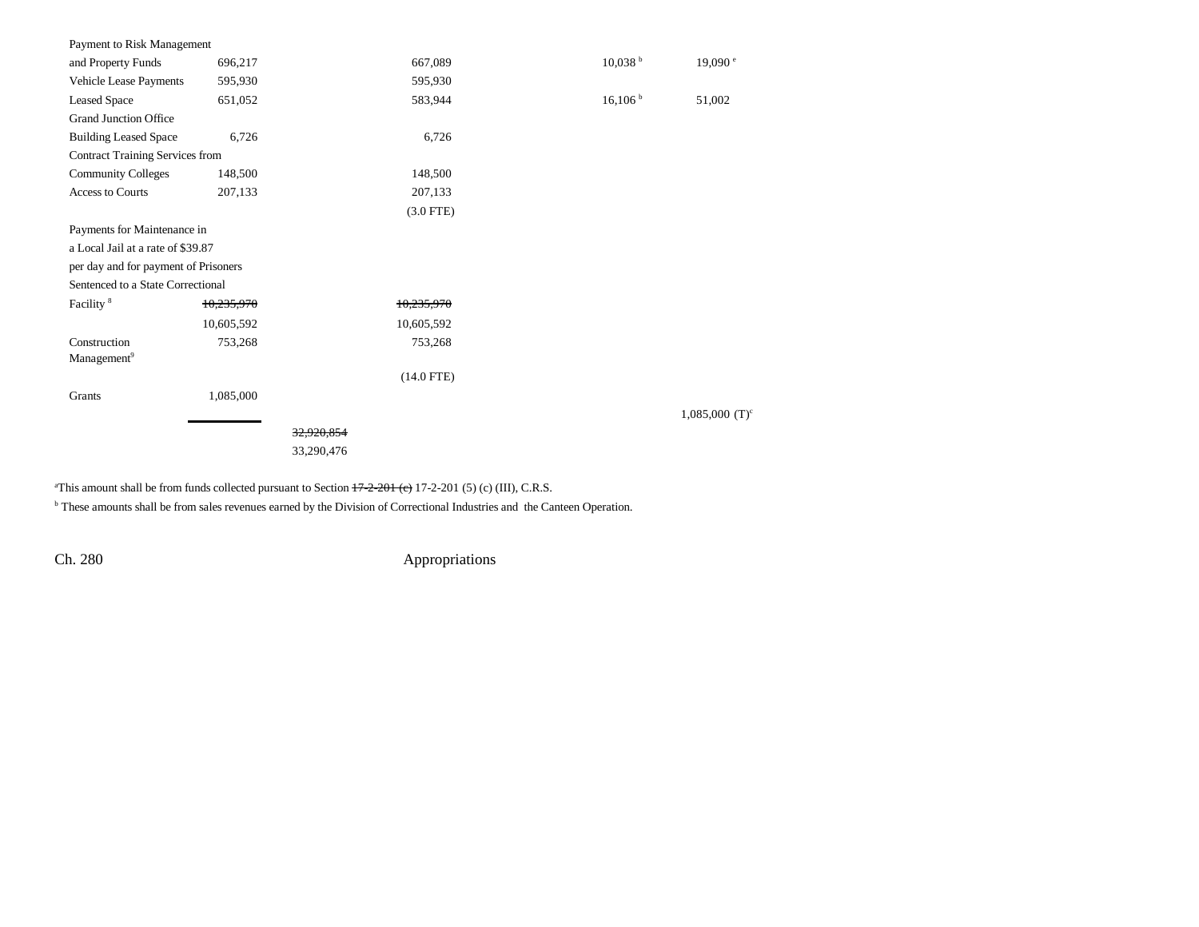| Payment to Risk Management             |            |                       |                 |                     |                              |
|----------------------------------------|------------|-----------------------|-----------------|---------------------|------------------------------|
| and Property Funds                     | 696,217    |                       | 667,089         | 10,038 <sup>b</sup> | 19,090 <sup>e</sup>          |
| Vehicle Lease Payments                 | 595,930    |                       | 595,930         |                     |                              |
| <b>Leased Space</b>                    | 651,052    |                       | 583,944         | 16,106 h            | 51,002                       |
| <b>Grand Junction Office</b>           |            |                       |                 |                     |                              |
| <b>Building Leased Space</b>           | 6,726      |                       | 6,726           |                     |                              |
| <b>Contract Training Services from</b> |            |                       |                 |                     |                              |
| <b>Community Colleges</b>              | 148,500    |                       | 148,500         |                     |                              |
| <b>Access to Courts</b>                | 207,133    |                       | 207,133         |                     |                              |
|                                        |            |                       | $(3.0$ FTE)     |                     |                              |
| Payments for Maintenance in            |            |                       |                 |                     |                              |
| a Local Jail at a rate of \$39.87      |            |                       |                 |                     |                              |
| per day and for payment of Prisoners   |            |                       |                 |                     |                              |
| Sentenced to a State Correctional      |            |                       |                 |                     |                              |
| Facility <sup>8</sup>                  | 10,235,970 |                       | 10,235,970      |                     |                              |
|                                        | 10,605,592 |                       | 10,605,592      |                     |                              |
| Construction                           | 753,268    |                       | 753,268         |                     |                              |
| Management <sup>9</sup>                |            |                       |                 |                     |                              |
|                                        |            |                       | $(14.0$ FTE $)$ |                     |                              |
| Grants                                 | 1,085,000  |                       |                 |                     |                              |
|                                        |            |                       |                 |                     | $1,085,000$ (T) <sup>c</sup> |
|                                        |            | <del>32.920.854</del> |                 |                     |                              |
|                                        |            | 33,290,476            |                 |                     |                              |
|                                        |            |                       |                 |                     |                              |

<sup>a</sup>This amount shall be from funds collected pursuant to Section  $+7-2-201$  (e) 17-2-201 (5) (c) (III), C.R.S.

b These amounts shall be from sales revenues earned by the Division of Correctional Industries and the Canteen Operation.